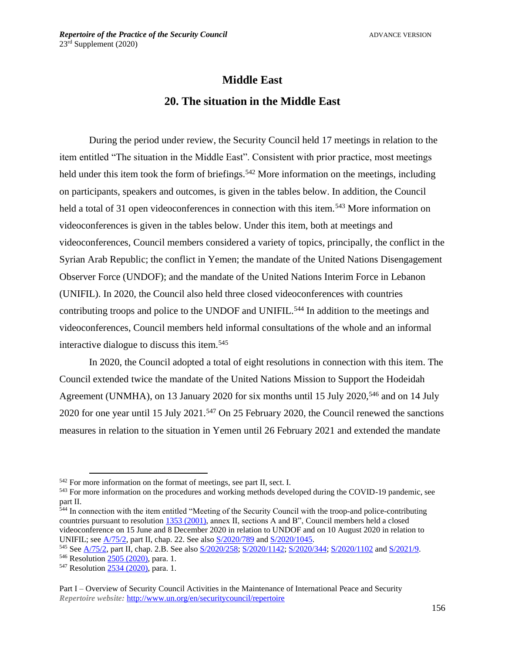# **Middle East 20. The situation in the Middle East**

During the period under review, the Security Council held 17 meetings in relation to the item entitled "The situation in the Middle East". Consistent with prior practice, most meetings held under this item took the form of briefings.<sup>542</sup> More information on the meetings, including on participants, speakers and outcomes, is given in the tables below. In addition, the Council held a total of 31 open videoconferences in connection with this item.<sup>543</sup> More information on videoconferences is given in the tables below. Under this item, both at meetings and videoconferences, Council members considered a variety of topics, principally, the conflict in the Syrian Arab Republic; the conflict in Yemen; the mandate of the United Nations Disengagement Observer Force (UNDOF); and the mandate of the United Nations Interim Force in Lebanon (UNIFIL). In 2020, the Council also held three closed videoconferences with countries contributing troops and police to the UNDOF and UNIFIL.<sup>544</sup> In addition to the meetings and videoconferences, Council members held informal consultations of the whole and an informal interactive dialogue to discuss this item. 545

In 2020, the Council adopted a total of eight resolutions in connection with this item. The Council extended twice the mandate of the United Nations Mission to Support the Hodeidah Agreement (UNMHA), on 13 January 2020 for six months until 15 July 2020,<sup>546</sup> and on 14 July 2020 for one year until 15 July 2021.<sup>547</sup> On 25 February 2020, the Council renewed the sanctions measures in relation to the situation in Yemen until 26 February 2021 and extended the mandate

<sup>542</sup> For more information on the format of meetings, see part II, sect. I.

<sup>&</sup>lt;sup>543</sup> For more information on the procedures and working methods developed during the COVID-19 pandemic, see part II.

<sup>544</sup> In connection with the item entitled "Meeting of the Security Council with the troop-and police-contributing countries pursuant to resolution [1353 \(2001\),](https://undocs.org/en/S/RES/1353(2001)) annex II, sections A and B", Council members held a closed videoconference on 15 June and 8 December 2020 in relation to UNDOF and on 10 August 2020 in relation to UNIFIL; see [A/75/2,](https://undocs.org/A/75/2) part II, chap. 22. See also [S/2020/789](https://undocs.org/en/S/2020/789) and [S/2020/1045.](https://undocs.org/en/S/2020/1045)

<sup>&</sup>lt;sup>545</sup> See <u>A/75/2</u>, part II, chap. 2.B. See also [S/2020/258;](https://undocs.org/en/S/2020/258) [S/2020/1142;](https://undocs.org/en/S/2020/1142) [S/2020/344;](https://undocs.org/en/S/2020/344) [S/2020/1102](https://undocs.org/en/S/2020/1102) and [S/2021/9.](https://undocs.org/en/S/2021/9)

<sup>546</sup> Resolution [2505 \(2020\),](https://undocs.org/en/S/RES/2505(2020)) para. 1.

<sup>&</sup>lt;sup>547</sup> Resolution [2534 \(2020\),](https://undocs.org/en/S/RES/2534(2020)) para. 1.

Part I – Overview of Security Council Activities in the Maintenance of International Peace and Security *Repertoire website:* <http://www.un.org/en/securitycouncil/repertoire>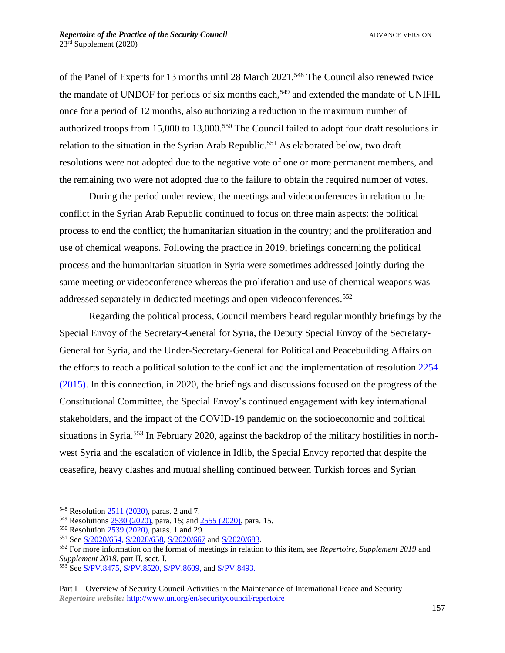of the Panel of Experts for 13 months until 28 March 2021.<sup>548</sup> The Council also renewed twice the mandate of UNDOF for periods of six months each,<sup>549</sup> and extended the mandate of UNIFIL once for a period of 12 months, also authorizing a reduction in the maximum number of authorized troops from 15,000 to 13,000.<sup>550</sup> The Council failed to adopt four draft resolutions in relation to the situation in the Syrian Arab Republic.<sup>551</sup> As elaborated below, two draft resolutions were not adopted due to the negative vote of one or more permanent members, and the remaining two were not adopted due to the failure to obtain the required number of votes.

During the period under review, the meetings and videoconferences in relation to the conflict in the Syrian Arab Republic continued to focus on three main aspects: the political process to end the conflict; the humanitarian situation in the country; and the proliferation and use of chemical weapons. Following the practice in 2019, briefings concerning the political process and the humanitarian situation in Syria were sometimes addressed jointly during the same meeting or videoconference whereas the proliferation and use of chemical weapons was addressed separately in dedicated meetings and open videoconferences. 552

Regarding the political process, Council members heard regular monthly briefings by the Special Envoy of the Secretary-General for Syria, the Deputy Special Envoy of the Secretary-General for Syria, and the Under-Secretary-General for Political and Peacebuilding Affairs on the efforts to reach a political solution to the conflict and the implementation of resolution [2254](https://undocs.org/en/S/RES/2254(2015))  [\(2015\).](https://undocs.org/en/S/RES/2254(2015)) In this connection, in 2020, the briefings and discussions focused on the progress of the Constitutional Committee, the Special Envoy's continued engagement with key international stakeholders, and the impact of the COVID-19 pandemic on the socioeconomic and political situations in Syria.<sup>553</sup> In February 2020, against the backdrop of the military hostilities in northwest Syria and the escalation of violence in Idlib, the Special Envoy reported that despite the ceasefire, heavy clashes and mutual shelling continued between Turkish forces and Syrian

<sup>548</sup> Resolution [2511 \(2020\),](https://undocs.org/en/S/RES/2511(2020)) paras. 2 and 7.

<sup>549</sup> Resolutions [2530 \(2020\),](https://undocs.org/en/S/RES/2530(2020)) para. 15; an[d 2555 \(2020\),](https://undocs.org/en/S/RES/2555(2020)) para. 15.

<sup>550</sup> Resolution [2539 \(2020\),](https://undocs.org/en/S/RES/2539(2020)) paras. 1 and 29.

<sup>551</sup> See [S/2020/654,](https://undocs.org/S/2020/654) [S/2020/658,](https://undocs.org/S/2020/658) [S/2020/667](https://undocs.org/S/2020/667) and [S/2020/683.](https://undocs.org/S/2020/683)

<sup>552</sup> For more information on the format of meetings in relation to this item, see *Repertoire, Supplement 2019* and *Supplement 2018*, part II, sect. I.

<sup>553</sup> See [S/PV.8475,](https://undocs.org/en/S/PV.8475) [S/PV.8520,](https://undocs.org/en/S/PV.8520) [S/PV.8609,](https://undocs.org/en/S/PV.8609) and [S/PV.8493.](https://undocs.org/S/PV.8493)

Part I – Overview of Security Council Activities in the Maintenance of International Peace and Security *Repertoire website:* <http://www.un.org/en/securitycouncil/repertoire>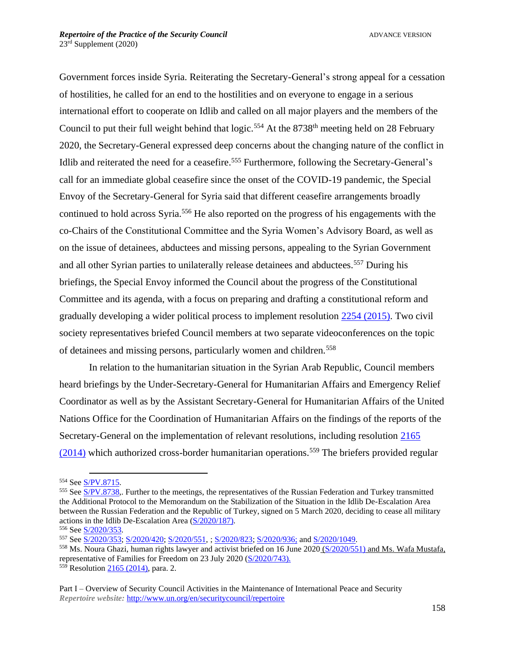Government forces inside Syria. Reiterating the Secretary-General's strong appeal for a cessation of hostilities, he called for an end to the hostilities and on everyone to engage in a serious international effort to cooperate on Idlib and called on all major players and the members of the Council to put their full weight behind that  $logic$ .<sup>554</sup> At the 8738<sup>th</sup> meeting held on 28 February 2020, the Secretary-General expressed deep concerns about the changing nature of the conflict in Idlib and reiterated the need for a ceasefire.<sup>555</sup> Furthermore, following the Secretary-General's call for an immediate global ceasefire since the onset of the COVID-19 pandemic, the Special Envoy of the Secretary-General for Syria said that different ceasefire arrangements broadly continued to hold across Syria.<sup>556</sup> He also reported on the progress of his engagements with the co-Chairs of the Constitutional Committee and the Syria Women's Advisory Board, as well as on the issue of detainees, abductees and missing persons, appealing to the Syrian Government and all other Syrian parties to unilaterally release detainees and abductees.<sup>557</sup> During his briefings, the Special Envoy informed the Council about the progress of the Constitutional Committee and its agenda, with a focus on preparing and drafting a constitutional reform and gradually developing a wider political process to implement resolution [2254 \(2015\).](https://undocs.org/S/RES/2254(2015)) Two civil society representatives briefed Council members at two separate videoconferences on the topic of detainees and missing persons, particularly women and children.<sup>558</sup>

In relation to the humanitarian situation in the Syrian Arab Republic, Council members heard briefings by the Under-Secretary-General for Humanitarian Affairs and Emergency Relief Coordinator as well as by the Assistant Secretary-General for Humanitarian Affairs of the United Nations Office for the Coordination of Humanitarian Affairs on the findings of the reports of the Secretary-General on the implementation of relevant resolutions, including resolution [2165](https://undocs.org/en/S/RES/2165(2014))   $(2014)$  which authorized cross-border humanitarian operations.<sup>559</sup> The briefers provided regular

<sup>554</sup> See [S/PV.8715.](https://undocs.org/en/S/PV.8715)

<sup>&</sup>lt;sup>555</sup> See S/PV.8738.. Further to the meetings, the representatives of the Russian Federation and Turkey transmitted the Additional Protocol to the Memorandum on the Stabilization of the Situation in the Idlib De-Escalation Area between the Russian Federation and the Republic of Turkey, signed on 5 March 2020, deciding to cease all military actions in the Idlib De-Escalation Area [\(S/2020/187\)](https://undocs.org/S/2020/187).

<sup>556</sup> See [S/2020/353.](http://undocs.org/s/2020/353) 

<sup>557</sup> See [S/2020/353;](http://undocs.org/s/2020/353) [S/2020/420;](https://undocs.org/s/2020/420) [S/2020/551,](http://undocs.org/s/2020/551) ; [S/2020/823;](http://undocs.org/s/2020/823) [S/2020/936;](http://undocs.org/s/2020/936) and [S/2020/1049.](http://undocs.org/s/2020/1049)

<sup>&</sup>lt;sup>558</sup> Ms. Noura Ghazi, human rights lawyer and activist briefed on 16 June 2020 [\(S/2020/551\)](https://undocs.org/s/2020/551) and Ms. Wafa Mustafa, representative of Families for Freedom on 23 July 2020 [\(S/2020/743\)](https://undocs.org/S/2020/743).

 $559$  Resolution [2165 \(2014\),](https://undocs.org/en/S/RES/2165(2014)) para. 2.

Part I – Overview of Security Council Activities in the Maintenance of International Peace and Security *Repertoire website:* <http://www.un.org/en/securitycouncil/repertoire>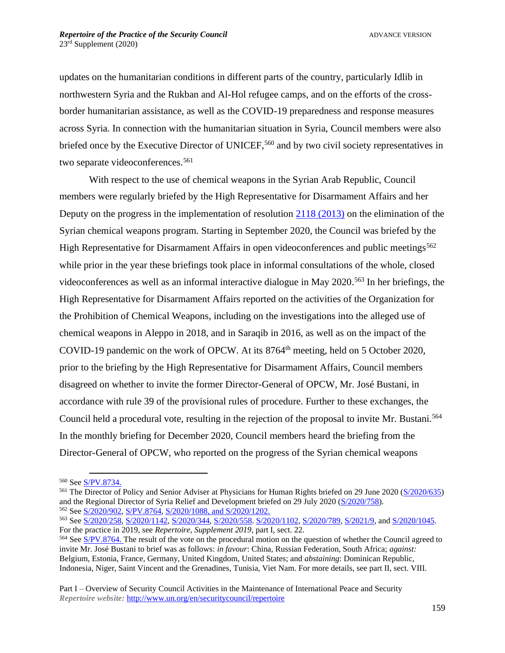updates on the humanitarian conditions in different parts of the country, particularly Idlib in northwestern Syria and the Rukban and Al-Hol refugee camps, and on the efforts of the crossborder humanitarian assistance, as well as the COVID-19 preparedness and response measures across Syria. In connection with the humanitarian situation in Syria, Council members were also briefed once by the Executive Director of UNICEF,<sup>560</sup> and by two civil society representatives in two separate videoconferences.<sup>561</sup>

With respect to the use of chemical weapons in the Syrian Arab Republic, Council members were regularly briefed by the High Representative for Disarmament Affairs and her Deputy on the progress in the implementation of resolution [2118 \(2013\)](https://undocs.org/en/S/RES/2118(2013)) on the elimination of the Syrian chemical weapons program. Starting in September 2020, the Council was briefed by the High Representative for Disarmament Affairs in open videoconferences and public meetings<sup>562</sup> while prior in the year these briefings took place in informal consultations of the whole, closed videoconferences as well as an informal interactive dialogue in May 2020. <sup>563</sup> In her briefings, the High Representative for Disarmament Affairs reported on the activities of the Organization for the Prohibition of Chemical Weapons, including on the investigations into the alleged use of chemical weapons in Aleppo in 2018, and in Saraqib in 2016, as well as on the impact of the COVID-19 pandemic on the work of OPCW. At its 8764th meeting, held on 5 October 2020, prior to the briefing by the High Representative for Disarmament Affairs, Council members disagreed on whether to invite the former Director-General of OPCW, Mr. José Bustani, in accordance with rule 39 of the provisional rules of procedure. Further to these exchanges, the Council held a procedural vote, resulting in the rejection of the proposal to invite Mr. Bustani.<sup>564</sup> In the monthly briefing for December 2020, Council members heard the briefing from the Director-General of OPCW, who reported on the progress of the Syrian chemical weapons

<sup>560</sup> See [S/PV.8734.](https://undocs.org/en/S/PV.8734)

<sup>561</sup> The Director of Policy and Senior Adviser at Physicians for Human Rights briefed on 29 June 2020 [\(S/2020/635\)](https://undocs.org/en/S/2020/635) and the Regional Director of Syria Relief and Development briefed on 29 July 2020 [\(S/2020/758\)](https://undocs.org/en/S/2020/758). <sup>562</sup> See [S/2020/902,](https://undocs.org/S/2020/902) [S/PV.8764,](https://undocs.org/en/S/PV.8764) [S/2020/1088,](https://undocs.org/S/2020/1088) and [S/2020/1202.](http://undocs.org/S/2020/1202)

<sup>563</sup> See [S/2020/258,](https://undocs.org/en/S/2020/258) [S/2020/1142,](https://undocs.org/en/S/2020/1142) [S/2020/344,](https://undocs.org/en/S/2020/344) [S/2020/558.](https://undocs.org/en/S/2020/558) [S/2020/1102,](https://undocs.org/en/S/2020/1102) [S/2020/789,](https://undocs.org/en/S/2020/789) [S/2021/9,](https://undocs.org/en/S/2021/9) and [S/2020/1045.](https://undocs.org/en/S/2020/1045) For the practice in 2019, see *Repertoire, Supplement 2019*, part I, sect. 22.

<sup>&</sup>lt;sup>564</sup> See [S/PV.8764.](https://undocs.org/en/S/PV.8764) The result of the vote on the procedural motion on the question of whether the Council agreed to invite Mr. José Bustani to brief was as follows: *in favour*: China, Russian Federation, South Africa; *against:* Belgium, Estonia, France, Germany, United Kingdom, United States; and *abstaining*: Dominican Republic, Indonesia, Niger, Saint Vincent and the Grenadines, Tunisia, Viet Nam. For more details, see part II, sect. VIII.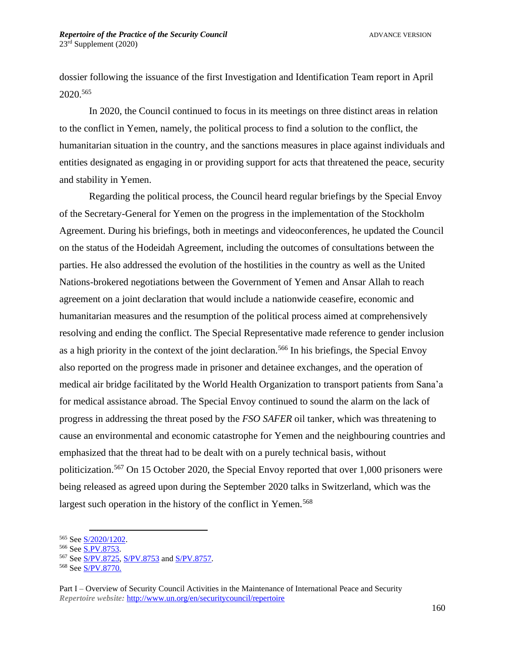dossier following the issuance of the first Investigation and Identification Team report in April 2020.<sup>565</sup>

In 2020, the Council continued to focus in its meetings on three distinct areas in relation to the conflict in Yemen, namely, the political process to find a solution to the conflict, the humanitarian situation in the country, and the sanctions measures in place against individuals and entities designated as engaging in or providing support for acts that threatened the peace, security and stability in Yemen.

Regarding the political process, the Council heard regular briefings by the Special Envoy of the Secretary-General for Yemen on the progress in the implementation of the Stockholm Agreement. During his briefings, both in meetings and videoconferences, he updated the Council on the status of the Hodeidah Agreement, including the outcomes of consultations between the parties. He also addressed the evolution of the hostilities in the country as well as the United Nations-brokered negotiations between the Government of Yemen and Ansar Allah to reach agreement on a joint declaration that would include a nationwide ceasefire, economic and humanitarian measures and the resumption of the political process aimed at comprehensively resolving and ending the conflict. The Special Representative made reference to gender inclusion as a high priority in the context of the joint declaration.<sup>566</sup> In his briefings, the Special Envoy also reported on the progress made in prisoner and detainee exchanges, and the operation of medical air bridge facilitated by the World Health Organization to transport patients from Sana'a for medical assistance abroad. The Special Envoy continued to sound the alarm on the lack of progress in addressing the threat posed by the *FSO SAFER* oil tanker, which was threatening to cause an environmental and economic catastrophe for Yemen and the neighbouring countries and emphasized that the threat had to be dealt with on a purely technical basis, without politicization.<sup>567</sup> On 15 October 2020, the Special Envoy reported that over 1,000 prisoners were being released as agreed upon during the September 2020 talks in Switzerland, which was the largest such operation in the history of the conflict in Yemen.<sup>568</sup>

<sup>565</sup> See [S/2020/1202.](https://undocs.org/S/2020/1202) 

<sup>566</sup> See [S.PV.8753.](https://undocs.org/en/S/PV.8753)

<sup>567</sup> See [S/PV.8725,](https://undocs.org/S/pv.8725) [S/PV.8753](https://undocs.org/S/pv.8753) and [S/PV.8757.](https://undocs.org/en/S/PV.8757) 

<sup>568</sup> See [S/PV.8770.](https://undocs.org/en/S/PV.8770)

Part I – Overview of Security Council Activities in the Maintenance of International Peace and Security *Repertoire website:* <http://www.un.org/en/securitycouncil/repertoire>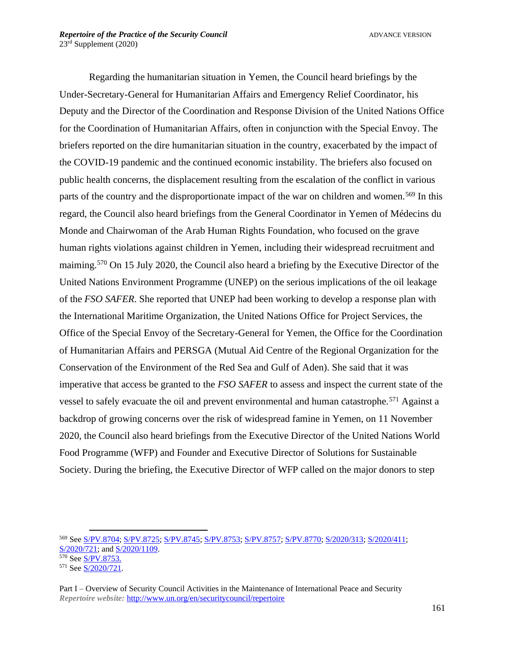Regarding the humanitarian situation in Yemen, the Council heard briefings by the Under-Secretary-General for Humanitarian Affairs and Emergency Relief Coordinator, his Deputy and the Director of the Coordination and Response Division of the United Nations Office for the Coordination of Humanitarian Affairs, often in conjunction with the Special Envoy. The briefers reported on the dire humanitarian situation in the country, exacerbated by the impact of the COVID-19 pandemic and the continued economic instability. The briefers also focused on public health concerns, the displacement resulting from the escalation of the conflict in various parts of the country and the disproportionate impact of the war on children and women.<sup>569</sup> In this regard, the Council also heard briefings from the General Coordinator in Yemen of Médecins du Monde and Chairwoman of the Arab Human Rights Foundation, who focused on the grave human rights violations against children in Yemen, including their widespread recruitment and maiming.<sup>570</sup> On 15 July 2020, the Council also heard a briefing by the Executive Director of the United Nations Environment Programme (UNEP) on the serious implications of the oil leakage of the *FSO SAFER*. She reported that UNEP had been working to develop a response plan with the International Maritime Organization, the United Nations Office for Project Services, the Office of the Special Envoy of the Secretary-General for Yemen, the Office for the Coordination of Humanitarian Affairs and PERSGA (Mutual Aid Centre of the Regional Organization for the Conservation of the Environment of the Red Sea and Gulf of Aden). She said that it was imperative that access be granted to the *FSO SAFER* to assess and inspect the current state of the vessel to safely evacuate the oil and prevent environmental and human catastrophe.<sup>571</sup> Against a backdrop of growing concerns over the risk of widespread famine in Yemen, on 11 November 2020, the Council also heard briefings from the Executive Director of the United Nations World Food Programme (WFP) and Founder and Executive Director of Solutions for Sustainable Society. During the briefing, the Executive Director of WFP called on the major donors to step

<sup>569</sup> See [S/PV.8704;](https://undocs.org/en/S/PV.8704) [S/PV.8725;](https://undocs.org/en/S/PV.8725) [S/PV.8745;](https://undocs.org/en/S/PV.8745) [S/PV.8753;](https://undocs.org/en/S/PV.8753) [S/PV.8757;](https://undocs.org/en/S/PV.8757) [S/PV.8770;](https://undocs.org/en/S/PV.8770) [S/2020/313;](https://undocs.org/en/S/2020/313) [S/2020/411;](https://undocs.org/en/S/2020/411) [S/2020/721;](https://undocs.org/en/S/2020/721) and [S/2020/1109.](https://undocs.org/en/S/2020/1109)

<sup>&</sup>lt;sup>570</sup> See [S/PV.8753.](https://undocs.org/en/S/PV.8753)

<sup>571</sup> See [S/2020/721.](https://undocs.org/S/2020/721) 

Part I – Overview of Security Council Activities in the Maintenance of International Peace and Security *Repertoire website:* <http://www.un.org/en/securitycouncil/repertoire>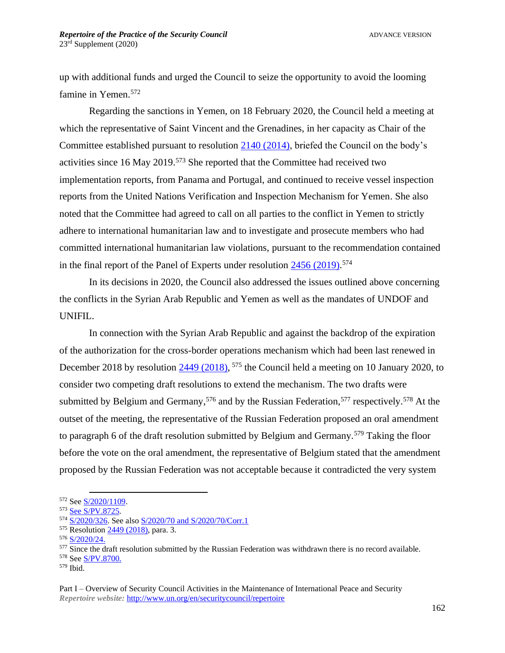up with additional funds and urged the Council to seize the opportunity to avoid the looming famine in Yemen.<sup>572</sup>

Regarding the sanctions in Yemen, on 18 February 2020, the Council held a meeting at which the representative of Saint Vincent and the Grenadines, in her capacity as Chair of the Committee established pursuant to resolution [2140 \(2014\),](https://undocs.org/en/S/RES/2140(2014)) briefed the Council on the body's activities since 16 May 2019. <sup>573</sup> She reported that the Committee had received two implementation reports, from Panama and Portugal, and continued to receive vessel inspection reports from the United Nations Verification and Inspection Mechanism for Yemen. She also noted that the Committee had agreed to call on all parties to the conflict in Yemen to strictly adhere to international humanitarian law and to investigate and prosecute members who had committed international humanitarian law violations, pursuant to the recommendation contained in the final report of the Panel of Experts under resolution  $\frac{2456}{(2019)}$ .<sup>574</sup>

In its decisions in 2020, the Council also addressed the issues outlined above concerning the conflicts in the Syrian Arab Republic and Yemen as well as the mandates of UNDOF and UNIFIL.

In connection with the Syrian Arab Republic and against the backdrop of the expiration of the authorization for the cross-border operations mechanism which had been last renewed in December 2018 by resolution  $\frac{2449 (2018)}{575}$  the Council held a meeting on 10 January 2020, to consider two competing draft resolutions to extend the mechanism. The two drafts were submitted by Belgium and Germany,<sup>576</sup> and by the Russian Federation,<sup>577</sup> respectively.<sup>578</sup> At the outset of the meeting, the representative of the Russian Federation proposed an oral amendment to paragraph 6 of the draft resolution submitted by Belgium and Germany.<sup>579</sup> Taking the floor before the vote on the oral amendment, the representative of Belgium stated that the amendment proposed by the Russian Federation was not acceptable because it contradicted the very system

<sup>579</sup> Ibid.

<sup>572</sup> See [S/2020/1109.](https://undocs.org/S/2020/1109)

<sup>573</sup> See [S/PV.8725.](https://undocs.org/en/S/PV.8725)

<sup>574</sup> [S/2020/326.](https://undocs.org/en/S/2020/326) See also [S/2020/70](https://undocs.org/S/2020/70) an[d S/2020/70/Corr.1](https://undocs.org/s/2020/70/Corr.1)

<sup>&</sup>lt;sup>575</sup> Resolution [2449 \(2018\),](https://undocs.org/S/RES/2449(2018)) para. 3.

<sup>576</sup> [S/2020/24.](http://undocs.org/s/2020/24)

 $577$  Since the draft resolution submitted by the Russian Federation was withdrawn there is no record available.

<sup>578</sup> See [S/PV.8700.](https://undocs.org/en/S/PV.8700)

Part I – Overview of Security Council Activities in the Maintenance of International Peace and Security *Repertoire website:* <http://www.un.org/en/securitycouncil/repertoire>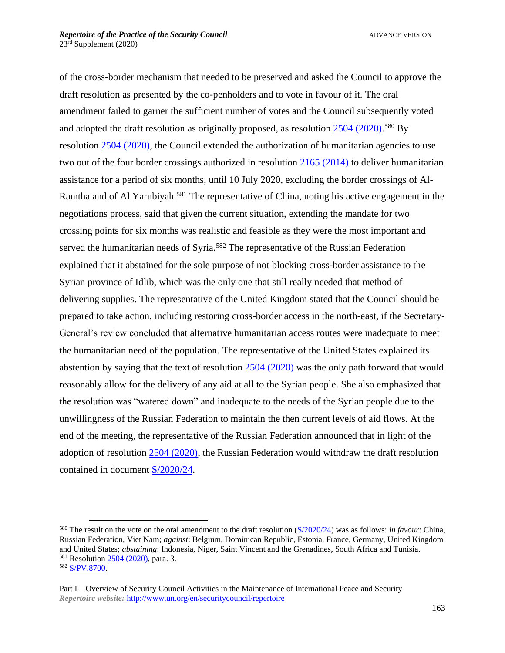of the cross-border mechanism that needed to be preserved and asked the Council to approve the draft resolution as presented by the co-penholders and to vote in favour of it. The oral amendment failed to garner the sufficient number of votes and the Council subsequently voted and adopted the draft resolution as originally proposed, as resolution [2504 \(2020\).](https://undocs.org/en/S/RES/2504(2020))<sup>580</sup> By resolution [2504 \(2020\),](https://undocs.org/en/S/RES/2504(2020)) the Council extended the authorization of humanitarian agencies to use two out of the four border crossings authorized in resolution  $2165 (2014)$  to deliver humanitarian assistance for a period of six months, until 10 July 2020, excluding the border crossings of Al-Ramtha and of Al Yarubiyah.<sup>581</sup> The representative of China, noting his active engagement in the negotiations process, said that given the current situation, extending the mandate for two crossing points for six months was realistic and feasible as they were the most important and served the humanitarian needs of Syria.<sup>582</sup> The representative of the Russian Federation explained that it abstained for the sole purpose of not blocking cross-border assistance to the Syrian province of Idlib, which was the only one that still really needed that method of delivering supplies. The representative of the United Kingdom stated that the Council should be prepared to take action, including restoring cross-border access in the north-east, if the Secretary-General's review concluded that alternative humanitarian access routes were inadequate to meet the humanitarian need of the population. The representative of the United States explained its abstention by saying that the text of resolution [2504 \(2020\)](https://undocs.org/en/S/RES/2504(2020)) was the only path forward that would reasonably allow for the delivery of any aid at all to the Syrian people. She also emphasized that the resolution was "watered down" and inadequate to the needs of the Syrian people due to the unwillingness of the Russian Federation to maintain the then current levels of aid flows. At the end of the meeting, the representative of the Russian Federation announced that in light of the adoption of resolution [2504 \(2020\),](https://undocs.org/en/S/RES/2504(2020)) the Russian Federation would withdraw the draft resolution contained in document [S/2020/24.](https://undocs.org/s/2020/24)

<sup>580</sup> The result on the vote on the oral amendment to the draft resolution [\(S/2020/24\)](https://undocs.org/S/2020/24) was as follows: *in favour*: China, Russian Federation, Viet Nam; *against*: Belgium, Dominican Republic, Estonia, France, Germany, United Kingdom and United States; *abstaining*: Indonesia, Niger, Saint Vincent and the Grenadines, South Africa and Tunisia. <sup>581</sup> Resolution [2504 \(2020\),](https://undocs.org/en/S/RES/2504(2020)) para. 3.

<sup>582</sup> [S/PV.8700.](https://undocs.org/en/S/PV.8700)

Part I – Overview of Security Council Activities in the Maintenance of International Peace and Security *Repertoire website:* <http://www.un.org/en/securitycouncil/repertoire>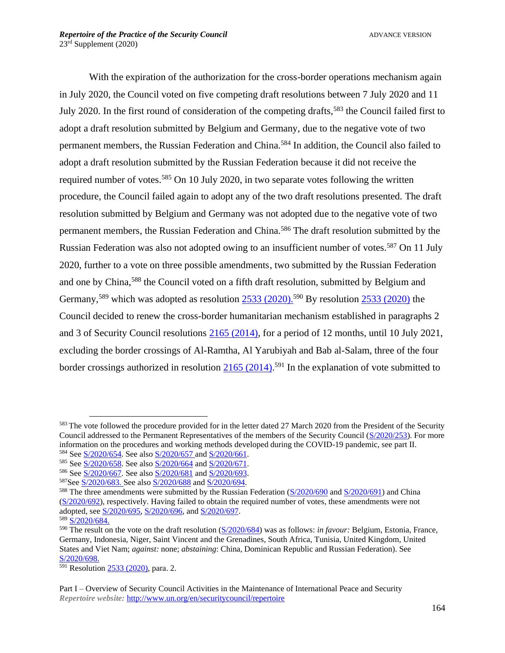With the expiration of the authorization for the cross-border operations mechanism again in July 2020, the Council voted on five competing draft resolutions between 7 July 2020 and 11 July 2020. In the first round of consideration of the competing drafts,<sup>583</sup> the Council failed first to adopt a draft resolution submitted by Belgium and Germany, due to the negative vote of two permanent members, the Russian Federation and China.<sup>584</sup> In addition, the Council also failed to adopt a draft resolution submitted by the Russian Federation because it did not receive the required number of votes.<sup>585</sup> On 10 July 2020, in two separate votes following the written procedure, the Council failed again to adopt any of the two draft resolutions presented. The draft resolution submitted by Belgium and Germany was not adopted due to the negative vote of two permanent members, the Russian Federation and China.<sup>586</sup> The draft resolution submitted by the Russian Federation was also not adopted owing to an insufficient number of votes.<sup>587</sup> On 11 July 2020, further to a vote on three possible amendments, two submitted by the Russian Federation and one by China, <sup>588</sup> the Council voted on a fifth draft resolution, submitted by Belgium and Germany,<sup>589</sup> which was adopted as resolution  $2533 (2020)$ .<sup>590</sup> By resolution  $2533 (2020)$  the Council decided to renew the cross-border humanitarian mechanism established in paragraphs 2 and 3 of Security Council resolutions [2165 \(2014\),](https://undocs.org/en/S/RES/2165(2014)) for a period of 12 months, until 10 July 2021, excluding the border crossings of Al-Ramtha, Al Yarubiyah and Bab al-Salam, three of the four border crossings authorized in resolution  $\frac{2165 (2014)}{591}$  In the explanation of vote submitted to

<sup>&</sup>lt;sup>583</sup> The vote followed the procedure provided for in the letter dated 27 March 2020 from the President of the Security Council addressed to the Permanent Representatives of the members of the Security Council [\(S/2020/253\)](https://undocs.org/S/2020/253). For more information on the procedures and working methods developed during the COVID-19 pandemic, see part II. <sup>584</sup> See [S/2020/654.](http://undocs.org/S/2020/654) See also [S/2020/657](http://undocs.org/S/2020/657) an[d S/2020/661.](https://undocs.org/S/2020/661)

<sup>585</sup> See [S/2020/658.](http://undocs.org/S/2020/658) See also [S/2020/664](http://undocs.org/S/2020/664) an[d S/2020/671.](http://undocs.org/S/2020/671)

<sup>586</sup> See [S/2020/667.](http://undocs.org/S/2020/667) See also [S/2020/681](http://undocs.org/S/2020/681) an[d S/2020/693.](http://undocs.org/S/2020/693)

<sup>587</sup>See [S/2020/683.](http://undocs.org/S/2020/683) See als[o S/2020/688](http://undocs.org/S/2020/688) and [S/2020/694.](http://undocs.org/S/2020/694)

<sup>&</sup>lt;sup>588</sup> The three amendments were submitted by the Russian Federation [\(S/2020/690](https://undocs.org/S/2020/690) and [S/2020/691\)](https://undocs.org/S/2020/691) and China [\(S/2020/692\)](https://undocs.org/S/2020/692), respectively. Having failed to obtain the required number of votes, these amendments were not adopted, see [S/2020/695,](https://undocs.org/S/2020/695) [S/2020/696,](https://undocs.org/S/2020/696) and [S/2020/697.](https://undocs.org/S/2020/697)

<sup>589</sup> [S/2020/684.](https://undocs.org/S/2020/684) 

<sup>590</sup> The result on the vote on the draft resolution [\(S/2020/684\)](https://undocs.org/en/S/2020/684) was as follows: *in favour:* Belgium, Estonia, France, Germany, Indonesia, Niger, Saint Vincent and the Grenadines, South Africa, Tunisia, United Kingdom, United States and Viet Nam; *against:* none; *abstaining*: China, Dominican Republic and Russian Federation). See [S/2020/698.](https://undocs.org/S/2020/698)

 $\frac{591}{2591}$  Resolution [2533 \(2020\),](https://undocs.org/en/S/RES/2533(2020)) para. 2.

Part I – Overview of Security Council Activities in the Maintenance of International Peace and Security *Repertoire website:* <http://www.un.org/en/securitycouncil/repertoire>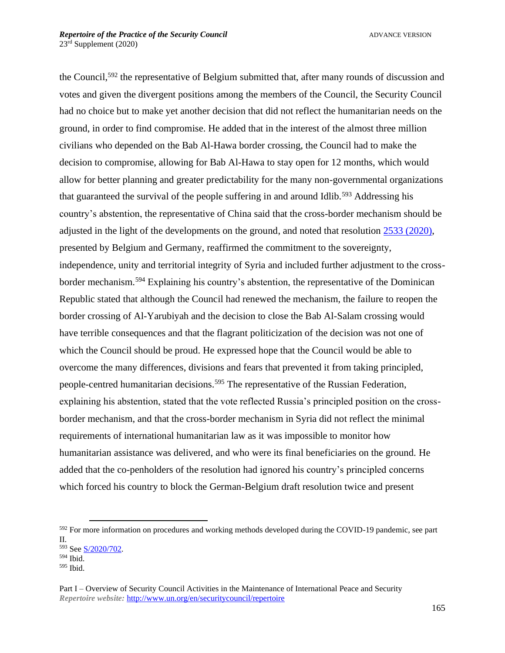the Council,<sup>592</sup> the representative of Belgium submitted that, after many rounds of discussion and votes and given the divergent positions among the members of the Council, the Security Council had no choice but to make yet another decision that did not reflect the humanitarian needs on the ground, in order to find compromise. He added that in the interest of the almost three million civilians who depended on the Bab Al-Hawa border crossing, the Council had to make the decision to compromise, allowing for Bab Al-Hawa to stay open for 12 months, which would allow for better planning and greater predictability for the many non-governmental organizations that guaranteed the survival of the people suffering in and around Idlib.<sup>593</sup> Addressing his country's abstention, the representative of China said that the cross-border mechanism should be adjusted in the light of the developments on the ground, and noted that resolution [2533 \(2020\),](https://undocs.org/en/S/RES/2533(2020)) presented by Belgium and Germany, reaffirmed the commitment to the sovereignty, independence, unity and territorial integrity of Syria and included further adjustment to the crossborder mechanism.<sup>594</sup> Explaining his country's abstention, the representative of the Dominican Republic stated that although the Council had renewed the mechanism, the failure to reopen the border crossing of Al-Yarubiyah and the decision to close the Bab Al-Salam crossing would have terrible consequences and that the flagrant politicization of the decision was not one of which the Council should be proud. He expressed hope that the Council would be able to overcome the many differences, divisions and fears that prevented it from taking principled, people-centred humanitarian decisions.<sup>595</sup> The representative of the Russian Federation, explaining his abstention, stated that the vote reflected Russia's principled position on the crossborder mechanism, and that the cross-border mechanism in Syria did not reflect the minimal requirements of international humanitarian law as it was impossible to monitor how humanitarian assistance was delivered, and who were its final beneficiaries on the ground. He added that the co-penholders of the resolution had ignored his country's principled concerns which forced his country to block the German-Belgium draft resolution twice and present

<sup>&</sup>lt;sup>592</sup> For more information on procedures and working methods developed during the COVID-19 pandemic, see part II.

<sup>593</sup> See [S/2020/702.](https://undocs.org/S/2020/702)

<sup>594</sup> Ibid.

<sup>595</sup> Ibid.

Part I – Overview of Security Council Activities in the Maintenance of International Peace and Security *Repertoire website:* <http://www.un.org/en/securitycouncil/repertoire>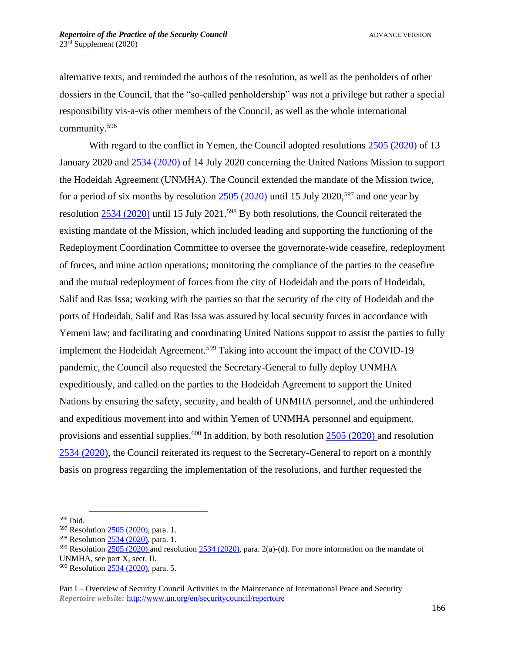alternative texts, and reminded the authors of the resolution, as well as the penholders of other dossiers in the Council, that the "so-called penholdership" was not a privilege but rather a special responsibility vis-a-vis other members of the Council, as well as the whole international community.<sup>596</sup>

With regard to the conflict in Yemen, the Council adopted resolutions [2505 \(2020\)](https://undocs.org/en/S/RES/2505(2020)) of 13 January 2020 and [2534 \(2020\)](https://undocs.org/en/S/RES/2534(2020)) of 14 July 2020 concerning the United Nations Mission to support the Hodeidah Agreement (UNMHA). The Council extended the mandate of the Mission twice, for a period of six months by resolution  $2505$  (2020) until 15 July 2020,<sup>597</sup> and one year by resolution [2534 \(2020\)](https://undocs.org/en/S/RES/2534(2020)) until 15 July 2021.<sup>598</sup> By both resolutions, the Council reiterated the existing mandate of the Mission, which included leading and supporting the functioning of the Redeployment Coordination Committee to oversee the governorate-wide ceasefire, redeployment of forces, and mine action operations; monitoring the compliance of the parties to the ceasefire and the mutual redeployment of forces from the city of Hodeidah and the ports of Hodeidah, Salif and Ras Issa; working with the parties so that the security of the city of Hodeidah and the ports of Hodeidah, Salif and Ras Issa was assured by local security forces in accordance with Yemeni law; and facilitating and coordinating United Nations support to assist the parties to fully implement the Hodeidah Agreement.<sup>599</sup> Taking into account the impact of the COVID-19 pandemic, the Council also requested the Secretary-General to fully deploy UNMHA expeditiously, and called on the parties to the Hodeidah Agreement to support the United Nations by ensuring the safety, security, and health of UNMHA personnel, and the unhindered and expeditious movement into and within Yemen of UNMHA personnel and equipment, provisions and essential supplies.<sup>600</sup> In addition, by both resolution  $2505 (2020)$  and resolution [2534 \(2020\),](https://undocs.org/en/S/RES/2534(2020)) the Council reiterated its request to the Secretary-General to report on a monthly basis on progress regarding the implementation of the resolutions, and further requested the

<sup>596</sup> Ibid.

<sup>&</sup>lt;sup>597</sup> Resolution [2505 \(2020\),](https://undocs.org/en/S/RES/2505(2020)) para. 1.

<sup>598</sup> Resolution [2534 \(2020\),](https://undocs.org/en/S/RES/2534(2020)) para. 1.

<sup>&</sup>lt;sup>599</sup> Resolution  $\frac{2505}{(2020)}$  and resolution  $\frac{2534}{(2020)}$ , para. 2(a)-(d). For more information on the mandate of UNMHA, see part X, sect. II.

<sup>&</sup>lt;sup>600</sup> Resolution [2534 \(2020\),](https://undocs.org/en/S/RES/2534(2020)) para. 5.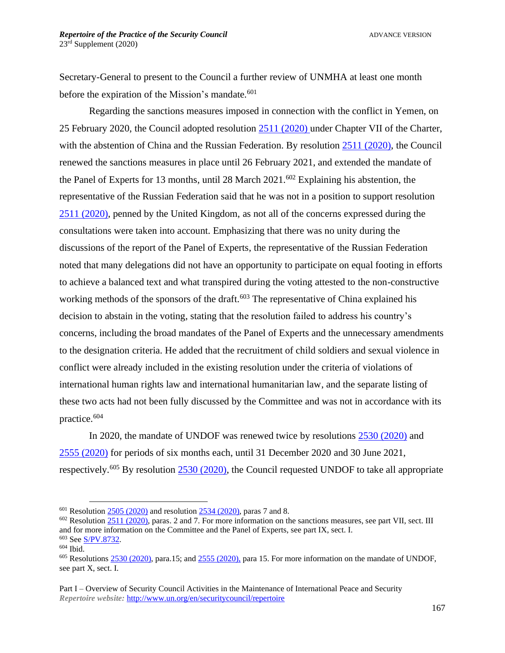Secretary-General to present to the Council a further review of UNMHA at least one month before the expiration of the Mission's mandate.<sup>601</sup>

Regarding the sanctions measures imposed in connection with the conflict in Yemen, on 25 February 2020, the Council adopted resolution [2511](http://www.un.org/en/ga/search/view_doc.asp?symbol=S/RES/2456(2019)) [\(2020\)](https://undocs.org/en/S/RES/2511(2020)) under Chapter VII of the Charter, with the abstention of China and the Russian Federation. By resolution [2511](http://www.un.org/en/ga/search/view_doc.asp?symbol=S/RES/2456(2019)) [\(2020\)](https://undocs.org/en/S/RES/2511(2020)), the Council renewed the sanctions measures in place until 26 February 2021, and extended the mandate of the Panel of Experts for 13 months, until 28 March  $2021$ .<sup>602</sup> Explaining his abstention, the representative of the Russian Federation said that he was not in a position to support resolution [2511](http://www.un.org/en/ga/search/view_doc.asp?symbol=S/RES/2456(2019)) [\(2020\)](https://undocs.org/en/S/RES/2511(2020)), penned by the United Kingdom, as not all of the concerns expressed during the consultations were taken into account. Emphasizing that there was no unity during the discussions of the report of the Panel of Experts, the representative of the Russian Federation noted that many delegations did not have an opportunity to participate on equal footing in efforts to achieve a balanced text and what transpired during the voting attested to the non-constructive working methods of the sponsors of the draft.<sup>603</sup> The representative of China explained his decision to abstain in the voting, stating that the resolution failed to address his country's concerns, including the broad mandates of the Panel of Experts and the unnecessary amendments to the designation criteria. He added that the recruitment of child soldiers and sexual violence in conflict were already included in the existing resolution under the criteria of violations of international human rights law and international humanitarian law, and the separate listing of these two acts had not been fully discussed by the Committee and was not in accordance with its practice.<sup>604</sup>

In 2020, the mandate of UNDOF was renewed twice by resolutions [2530 \(2020\)](https://undocs.org/en/S/RES/2530(2020)) and [2555 \(2020\)](https://undocs.org/en/S/RES/2555(2020)) for periods of six months each, until 31 December 2020 and 30 June 2021, respectively.<sup>605</sup> By resolution [2530 \(2020\),](https://undocs.org/en/S/RES/2530(2020)) the Council requested UNDOF to take all appropriate

 $601$  Resolution [2505 \(2020\)](https://undocs.org/en/S/RES/2505(2020)) and resolution [2534 \(2020\),](https://undocs.org/en/S/RES/2534(2020)) paras 7 and 8.

 $602$  Resolution [2511 \(2020\),](http://undocs.org/S/RES/2511(2020)) paras. 2 and 7. For more information on the sanctions measures, see part VII, sect. III and for more information on the Committee and the Panel of Experts, see part IX, sect. I. <sup>603</sup> See [S/PV.8732.](https://undocs.org/en/S/PV.8732)

 $604$  Ibid.

 $605$  Resolutions [2530 \(2020\),](https://undocs.org/en/S/RES/2530(2020)) para.15; and [2555 \(2020\),](https://undocs.org/en/S/RES/2555(2020)) para 15. For more information on the mandate of UNDOF, see part X, sect. I.

Part I – Overview of Security Council Activities in the Maintenance of International Peace and Security *Repertoire website:* <http://www.un.org/en/securitycouncil/repertoire>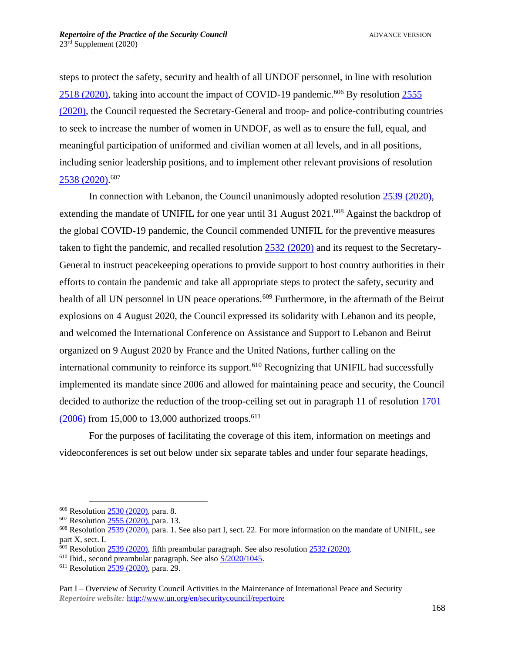steps to protect the safety, security and health of all UNDOF personnel, in line with resolution [2518 \(2020\),](https://undocs.org/en/S/RES/2518(2020)) taking into account the impact of COVID-19 pandemic.<sup>606</sup> By resolution [2555](https://undocs.org/en/S/RES/2555(2020)) [\(2020\),](https://undocs.org/en/S/RES/2555(2020)) the Council requested the Secretary-General and troop- and police-contributing countries to seek to increase the number of women in UNDOF, as well as to ensure the full, equal, and meaningful participation of uniformed and civilian women at all levels, and in all positions, including senior leadership positions, and to implement other relevant provisions of resolution [2538 \(2020\).](https://undocs.org/en/S/RES/2538(2020)) 607

In connection with Lebanon, the Council unanimously adopted resolution [2539 \(2020\),](https://undocs.org/en/S/RES/2539(2020)) extending the mandate of UNIFIL for one year until 31 August 2021.<sup>608</sup> Against the backdrop of the global COVID-19 pandemic, the Council commended UNIFIL for the preventive measures taken to fight the pandemic, and recalled resolution [2532 \(2020\)](https://undocs.org/en/S/RES/2532(2020)) and its request to the Secretary-General to instruct peacekeeping operations to provide support to host country authorities in their efforts to contain the pandemic and take all appropriate steps to protect the safety, security and health of all UN personnel in UN peace operations.<sup>609</sup> Furthermore, in the aftermath of the Beirut explosions on 4 August 2020, the Council expressed its solidarity with Lebanon and its people, and welcomed the International Conference on Assistance and Support to Lebanon and Beirut organized on 9 August 2020 by France and the United Nations, further calling on the international community to reinforce its support.<sup>610</sup> Recognizing that UNIFIL had successfully implemented its mandate since 2006 and allowed for maintaining peace and security, the Council decided to authorize the reduction of the troop-ceiling set out in paragraph 11 of resolution [1701](http://undocs.org/en/S/RES/1701(2006))   $(2006)$  from 15,000 to 13,000 authorized troops.<sup>611</sup>

For the purposes of facilitating the coverage of this item, information on meetings and videoconferences is set out below under six separate tables and under four separate headings,

<sup>606</sup> Resolution [2530 \(2020\),](https://undocs.org/en/S/RES/2530(2020)) para. 8.

<sup>607</sup> Resolution [2555 \(2020\),](https://undocs.org/en/S/RES/2555(2020)) para. 13.

<sup>&</sup>lt;sup>608</sup> Resolution [2539 \(2020\),](https://undocs.org/en/S/RES/2539(2020)) para. 1. See also part I, sect. 22. For more information on the mandate of UNIFIL, see part X, sect. I.

 $609$  Resolution  $2539$  (2020), fifth preambular paragraph. See also resolution  $2532$  (2020).

<sup>610</sup> Ibid., second preambular paragraph. See als[o S/2020/1045.](https://undocs.org/en/S/2020/1045)

<sup>&</sup>lt;sup>611</sup> Resolution [2539 \(2020\),](https://undocs.org/en/S/RES/2539(2020)) para. 29.

Part I – Overview of Security Council Activities in the Maintenance of International Peace and Security *Repertoire website:* <http://www.un.org/en/securitycouncil/repertoire>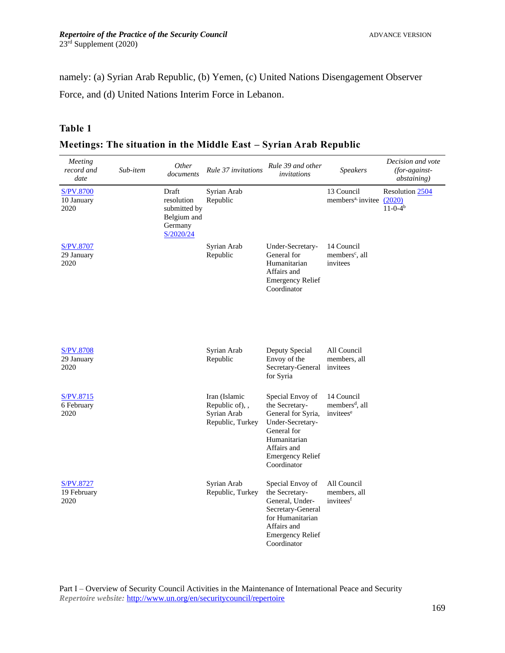namely: (a) Syrian Arab Republic, (b) Yemen, (c) United Nations Disengagement Observer Force, and (d) United Nations Interim Force in Lebanon.

## **Table 1**

| Meetings: The situation in the Middle East – Syrian Arab Republic |  |  |  |  |
|-------------------------------------------------------------------|--|--|--|--|
|                                                                   |  |  |  |  |

| Meeting<br>record and<br>date          | Sub-item | Other<br>documents                                                         | Rule 37 invitations                                                 | Rule 39 and other<br>invitations                                                                                                                                     | <b>Speakers</b>                                                   | Decision and vote<br>(for-against-<br><i>abstaining</i> ) |
|----------------------------------------|----------|----------------------------------------------------------------------------|---------------------------------------------------------------------|----------------------------------------------------------------------------------------------------------------------------------------------------------------------|-------------------------------------------------------------------|-----------------------------------------------------------|
| S/PV.8700<br>10 January<br>2020        |          | Draft<br>resolution<br>submitted by<br>Belgium and<br>Germany<br>S/2020/24 | Syrian Arab<br>Republic                                             |                                                                                                                                                                      | 13 Council<br>members <sup>a,</sup> invitee (2020)                | Resolution 2504<br>$11-0-4b$                              |
| S/PV.8707<br>29 January<br>2020        |          |                                                                            | Syrian Arab<br>Republic                                             | Under-Secretary-<br>General for<br>Humanitarian<br>Affairs and<br><b>Emergency Relief</b><br>Coordinator                                                             | 14 Council<br>members <sup>c</sup> , all<br>invitees              |                                                           |
| <b>S/PV.8708</b><br>29 January<br>2020 |          |                                                                            | Syrian Arab<br>Republic                                             | Deputy Special<br>Envoy of the<br>Secretary-General<br>for Syria                                                                                                     | All Council<br>members, all<br>invitees                           |                                                           |
| S/PV.8715<br>6 February<br>2020        |          |                                                                            | Iran (Islamic<br>Republic of), ,<br>Syrian Arab<br>Republic, Turkey | Special Envoy of<br>the Secretary-<br>General for Syria,<br>Under-Secretary-<br>General for<br>Humanitarian<br>Affairs and<br><b>Emergency Relief</b><br>Coordinator | 14 Council<br>members <sup>d</sup> , all<br>invitees <sup>e</sup> |                                                           |
| S/PV.8727<br>19 February<br>2020       |          |                                                                            | Syrian Arab<br>Republic, Turkey                                     | Special Envoy of<br>the Secretary-<br>General, Under-<br>Secretary-General<br>for Humanitarian<br>Affairs and<br><b>Emergency Relief</b><br>Coordinator              | All Council<br>members, all<br>invitees <sup>f</sup>              |                                                           |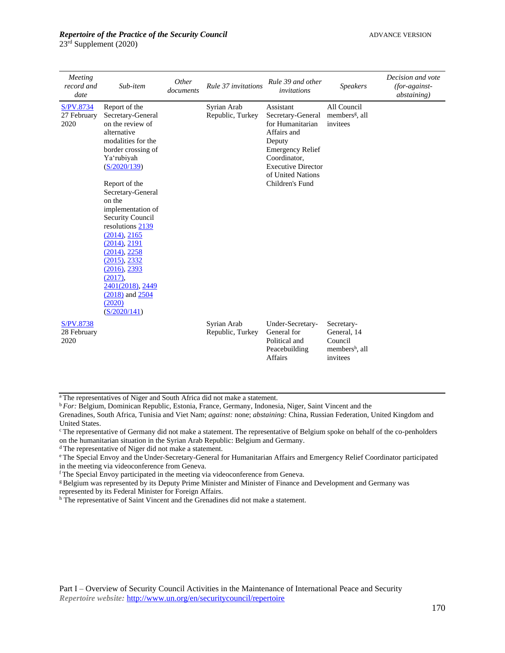23rd Supplement (2020)

| Meeting<br>record and<br>date    | Sub-item                                                                                                                                                                                                                                                                                                                                                                                                                            | Other<br>documents | Rule 37 invitations             | Rule 39 and other<br>invitations                                                                                                                                                            | <b>Speakers</b>                                                                | Decision and vote<br>$(for-against-)$<br><i>abstaining</i> ) |
|----------------------------------|-------------------------------------------------------------------------------------------------------------------------------------------------------------------------------------------------------------------------------------------------------------------------------------------------------------------------------------------------------------------------------------------------------------------------------------|--------------------|---------------------------------|---------------------------------------------------------------------------------------------------------------------------------------------------------------------------------------------|--------------------------------------------------------------------------------|--------------------------------------------------------------|
| S/PV.8734<br>27 February<br>2020 | Report of the<br>Secretary-General<br>on the review of<br>alternative<br>modalities for the<br>border crossing of<br>Ya'rubiyah<br>(S/2020/139)<br>Report of the<br>Secretary-General<br>on the<br>implementation of<br><b>Security Council</b><br>resolutions 2139<br>(2014), 2165<br>(2014), 2191<br>(2014), 2258<br>(2015), 2332<br>(2016), 2393<br>(2017),<br>2401(2018), 2449<br>$(2018)$ and $2504$<br>(2020)<br>(S/2020/141) |                    | Syrian Arab<br>Republic, Turkey | Assistant<br>Secretary-General<br>for Humanitarian<br>Affairs and<br>Deputy<br><b>Emergency Relief</b><br>Coordinator,<br><b>Executive Director</b><br>of United Nations<br>Children's Fund | All Council<br>members <sup>g</sup> , all<br>invitees                          |                                                              |
| S/PV.8738<br>28 February<br>2020 |                                                                                                                                                                                                                                                                                                                                                                                                                                     |                    | Syrian Arab<br>Republic, Turkey | Under-Secretary-<br>General for<br>Political and<br>Peacebuilding<br><b>Affairs</b>                                                                                                         | Secretary-<br>General, 14<br>Council<br>members <sup>h</sup> , all<br>invitees |                                                              |

<sup>a</sup>The representatives of Niger and South Africa did not make a statement.

<sup>b</sup> *For:* Belgium, Dominican Republic, Estonia, France, Germany, Indonesia, Niger, Saint Vincent and the

<sup>c</sup> The representative of Germany did not make a statement. The representative of Belgium spoke on behalf of the co-penholders on the humanitarian situation in the Syrian Arab Republic: Belgium and Germany.

<sup>d</sup> The representative of Niger did not make a statement.

<sup>e</sup> The Special Envoy and the Under-Secretary-General for Humanitarian Affairs and Emergency Relief Coordinator participated in the meeting via videoconference from Geneva.

<sup>f</sup> The Special Envoy participated in the meeting via videoconference from Geneva.

<sup>g</sup> Belgium was represented by its Deputy Prime Minister and Minister of Finance and Development and Germany was represented by its Federal Minister for Foreign Affairs.

h The representative of Saint Vincent and the Grenadines did not make a statement.

Grenadines, South Africa, Tunisia and Viet Nam; *against:* none; *abstaining:* China, Russian Federation, United Kingdom and United States.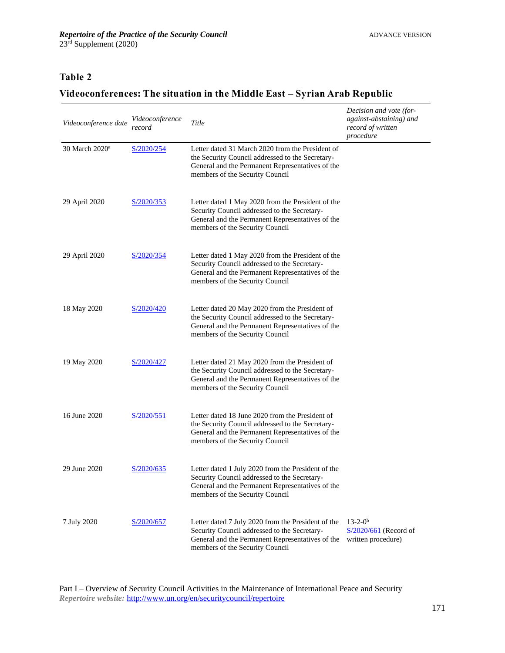## **Table 2**

# **Videoconferences: The situation in the Middle East – Syrian Arab Republic**

| Videoconference date       | Videoconference<br>record | Title                                                                                                                                                                                       | Decision and vote (for-<br>against-abstaining) and<br>record of written<br>procedure |
|----------------------------|---------------------------|---------------------------------------------------------------------------------------------------------------------------------------------------------------------------------------------|--------------------------------------------------------------------------------------|
| 30 March 2020 <sup>a</sup> | S/2020/254                | Letter dated 31 March 2020 from the President of<br>the Security Council addressed to the Secretary-<br>General and the Permanent Representatives of the<br>members of the Security Council |                                                                                      |
| 29 April 2020              | S/2020/353                | Letter dated 1 May 2020 from the President of the<br>Security Council addressed to the Secretary-<br>General and the Permanent Representatives of the<br>members of the Security Council    |                                                                                      |
| 29 April 2020              | S/2020/354                | Letter dated 1 May 2020 from the President of the<br>Security Council addressed to the Secretary-<br>General and the Permanent Representatives of the<br>members of the Security Council    |                                                                                      |
| 18 May 2020                | S/2020/420                | Letter dated 20 May 2020 from the President of<br>the Security Council addressed to the Secretary-<br>General and the Permanent Representatives of the<br>members of the Security Council   |                                                                                      |
| 19 May 2020                | S/2020/427                | Letter dated 21 May 2020 from the President of<br>the Security Council addressed to the Secretary-<br>General and the Permanent Representatives of the<br>members of the Security Council   |                                                                                      |
| 16 June 2020               | S/2020/551                | Letter dated 18 June 2020 from the President of<br>the Security Council addressed to the Secretary-<br>General and the Permanent Representatives of the<br>members of the Security Council  |                                                                                      |
| 29 June 2020               | S/2020/635                | Letter dated 1 July 2020 from the President of the<br>Security Council addressed to the Secretary-<br>General and the Permanent Representatives of the<br>members of the Security Council   |                                                                                      |
| 7 July 2020                | S/2020/657                | Letter dated 7 July 2020 from the President of the<br>Security Council addressed to the Secretary-<br>General and the Permanent Representatives of the<br>members of the Security Council   | $13 - 2 - 0^b$<br>$S/2020/661$ (Record of<br>written procedure)                      |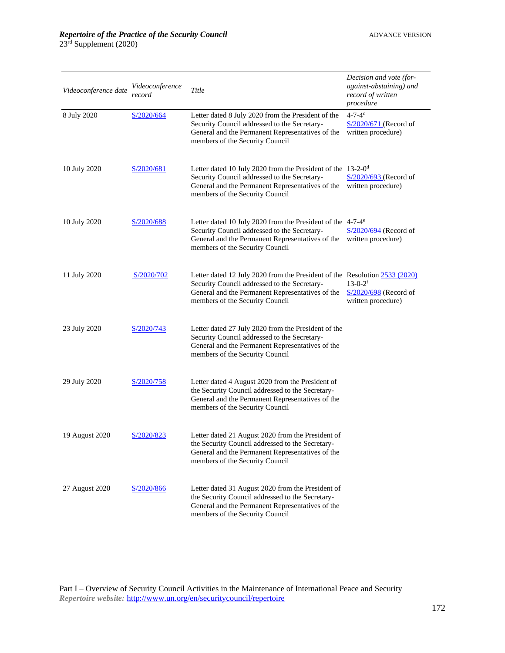| Videoconference date | Videoconference<br>record | Title                                                                                                                                                                                                             | Decision and vote (for-<br>against-abstaining) and<br>record of written<br>procedure |
|----------------------|---------------------------|-------------------------------------------------------------------------------------------------------------------------------------------------------------------------------------------------------------------|--------------------------------------------------------------------------------------|
| 8 July 2020          | S/2020/664                | Letter dated 8 July 2020 from the President of the<br>Security Council addressed to the Secretary-<br>General and the Permanent Representatives of the<br>members of the Security Council                         | $4 - 7 - 4c$<br>$S/2020/671$ (Record of<br>written procedure)                        |
| 10 July 2020         | S/2020/681                | Letter dated 10 July 2020 from the President of the 13-2-0 <sup>d</sup><br>Security Council addressed to the Secretary-<br>General and the Permanent Representatives of the<br>members of the Security Council    | $S/2020/693$ (Record of<br>written procedure)                                        |
| 10 July 2020         | S/2020/688                | Letter dated 10 July 2020 from the President of the 4-7-4 <sup>e</sup><br>Security Council addressed to the Secretary-<br>General and the Permanent Representatives of the<br>members of the Security Council     | $S/2020/694$ (Record of<br>written procedure)                                        |
| 11 July 2020         | S/2020/702                | Letter dated 12 July 2020 from the President of the Resolution 2533 (2020)<br>Security Council addressed to the Secretary-<br>General and the Permanent Representatives of the<br>members of the Security Council | $13-0-2$ <sup>f</sup><br>$S/2020/698$ (Record of<br>written procedure)               |
| 23 July 2020         | S/2020/743                | Letter dated 27 July 2020 from the President of the<br>Security Council addressed to the Secretary-<br>General and the Permanent Representatives of the<br>members of the Security Council                        |                                                                                      |
| 29 July 2020         | S/2020/758                | Letter dated 4 August 2020 from the President of<br>the Security Council addressed to the Secretary-<br>General and the Permanent Representatives of the<br>members of the Security Council                       |                                                                                      |
| 19 August 2020       | S/2020/823                | Letter dated 21 August 2020 from the President of<br>the Security Council addressed to the Secretary-<br>General and the Permanent Representatives of the<br>members of the Security Council                      |                                                                                      |
| 27 August 2020       | S/2020/866                | Letter dated 31 August 2020 from the President of<br>the Security Council addressed to the Secretary-<br>General and the Permanent Representatives of the<br>members of the Security Council                      |                                                                                      |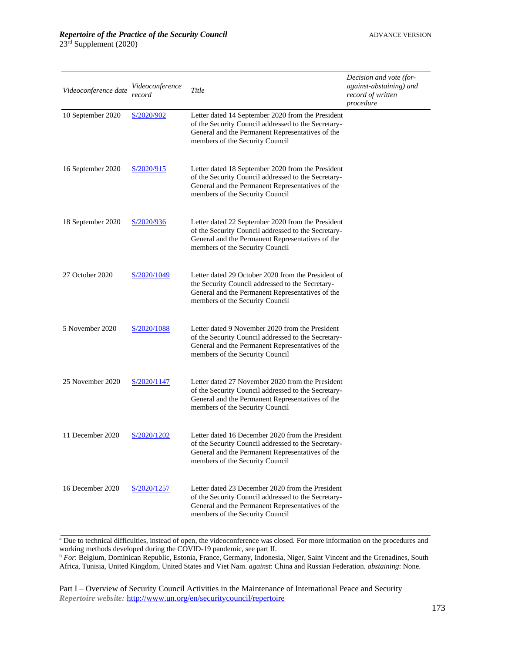| Videoconference date | Videoconference<br>record | Title                                                                                                                                                                                           | Decision and vote (for-<br>against-abstaining) and<br>record of written<br>procedure |
|----------------------|---------------------------|-------------------------------------------------------------------------------------------------------------------------------------------------------------------------------------------------|--------------------------------------------------------------------------------------|
| 10 September 2020    | S/2020/902                | Letter dated 14 September 2020 from the President<br>of the Security Council addressed to the Secretary-<br>General and the Permanent Representatives of the<br>members of the Security Council |                                                                                      |
| 16 September 2020    | S/2020/915                | Letter dated 18 September 2020 from the President<br>of the Security Council addressed to the Secretary-<br>General and the Permanent Representatives of the<br>members of the Security Council |                                                                                      |
| 18 September 2020    | S/2020/936                | Letter dated 22 September 2020 from the President<br>of the Security Council addressed to the Secretary-<br>General and the Permanent Representatives of the<br>members of the Security Council |                                                                                      |
| 27 October 2020      | S/2020/1049               | Letter dated 29 October 2020 from the President of<br>the Security Council addressed to the Secretary-<br>General and the Permanent Representatives of the<br>members of the Security Council   |                                                                                      |
| 5 November 2020      | S/2020/1088               | Letter dated 9 November 2020 from the President<br>of the Security Council addressed to the Secretary-<br>General and the Permanent Representatives of the<br>members of the Security Council   |                                                                                      |
| 25 November 2020     | S/2020/1147               | Letter dated 27 November 2020 from the President<br>of the Security Council addressed to the Secretary-<br>General and the Permanent Representatives of the<br>members of the Security Council  |                                                                                      |
| 11 December 2020     | S/2020/1202               | Letter dated 16 December 2020 from the President<br>of the Security Council addressed to the Secretary-<br>General and the Permanent Representatives of the<br>members of the Security Council  |                                                                                      |
| 16 December 2020     | S/2020/1257               | Letter dated 23 December 2020 from the President<br>of the Security Council addressed to the Secretary-<br>General and the Permanent Representatives of the<br>members of the Security Council  |                                                                                      |

<sup>a</sup> Due to technical difficulties, instead of open, the videoconference was closed. For more information on the procedures and working methods developed during the COVID-19 pandemic, see part II.

<sup>b</sup> *For*: Belgium, Dominican Republic, Estonia, France, Germany, Indonesia, Niger, Saint Vincent and the Grenadines, South Africa, Tunisia, United Kingdom, United States and Viet Nam. *against*: China and Russian Federation. *abstaining*: None.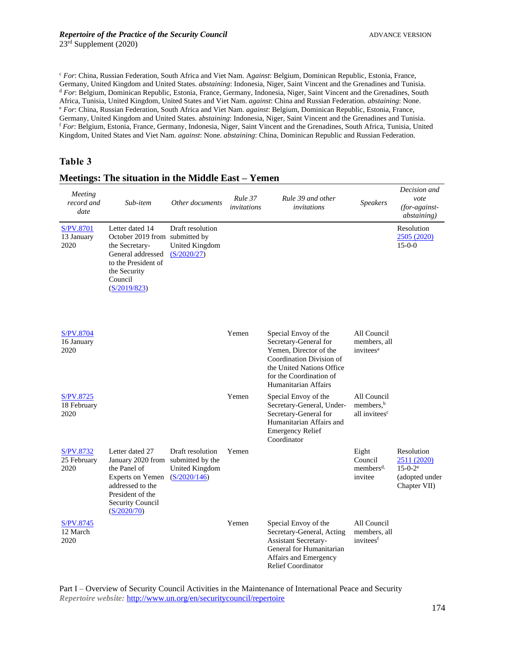<sup>c</sup> *For*: China, Russian Federation, South Africa and Viet Nam. A*gainst*: Belgium, Dominican Republic, Estonia, France, Germany, United Kingdom and United States. *abstaining*: Indonesia, Niger, Saint Vincent and the Grenadines and Tunisia. <sup>d</sup> *For*: Belgium, Dominican Republic, Estonia, France, Germany, Indonesia, Niger, Saint Vincent and the Grenadines, South Africa, Tunisia, United Kingdom, United States and Viet Nam. *against*: China and Russian Federation. *abstaining*: None. <sup>e</sup> *For*: China, Russian Federation, South Africa and Viet Nam. *against*: Belgium, Dominican Republic, Estonia, France, Germany, United Kingdom and United States. a*bstaining*: Indonesia, Niger, Saint Vincent and the Grenadines and Tunisia. <sup>f</sup> *For*: Belgium, Estonia, France, Germany, Indonesia, Niger, Saint Vincent and the Grenadines, South Africa, Tunisia, United Kingdom, United States and Viet Nam. *against*: None. *abstaining*: China, Dominican Republic and Russian Federation.

#### **Table 3**

| Meeting<br>record and<br>date          | Sub-item                                                                                                                                                   | Other documents                                                               | Rule 37<br>invitations | Rule 39 and other<br>invitations                                                                                                                                                    | <b>Speakers</b>                                                   | Decision and<br>vote<br>(for-against-<br><i>abstaining</i> )                  |
|----------------------------------------|------------------------------------------------------------------------------------------------------------------------------------------------------------|-------------------------------------------------------------------------------|------------------------|-------------------------------------------------------------------------------------------------------------------------------------------------------------------------------------|-------------------------------------------------------------------|-------------------------------------------------------------------------------|
| <b>S/PV.8701</b><br>13 January<br>2020 | Letter dated 14<br>October 2019 from submitted by<br>the Secretary-<br>General addressed<br>to the President of<br>the Security<br>Council<br>(S/2019/823) | Draft resolution<br><b>United Kingdom</b><br>(S/2020/27)                      |                        |                                                                                                                                                                                     |                                                                   | Resolution<br>2505 (2020)<br>$15-0-0$                                         |
| S/PV.8704<br>16 January<br>2020        |                                                                                                                                                            |                                                                               | Yemen                  | Special Envoy of the<br>Secretary-General for<br>Yemen. Director of the<br>Coordination Division of<br>the United Nations Office<br>for the Coordination of<br>Humanitarian Affairs | All Council<br>members, all<br>invitees <sup>a</sup>              |                                                                               |
| S/PV.8725<br>18 February<br>2020       |                                                                                                                                                            |                                                                               | Yemen                  | Special Envoy of the<br>Secretary-General, Under-<br>Secretary-General for<br>Humanitarian Affairs and<br><b>Emergency Relief</b><br>Coordinator                                    | All Council<br>members, <sup>b</sup><br>all invitees <sup>c</sup> |                                                                               |
| S/PV.8732<br>25 February<br>2020       | Letter dated 27<br>January 2020 from<br>the Panel of<br>Experts on Yemen<br>addressed to the<br>President of the<br>Security Council<br>(S/2020/70)        | Draft resolution<br>submitted by the<br><b>United Kingdom</b><br>(S/2020/146) | Yemen                  |                                                                                                                                                                                     | Eight<br>Council<br>members <sup>d,</sup><br>invitee              | Resolution<br>2511 (2020)<br>$15 - 0 - 2^e$<br>(adopted under<br>Chapter VII) |
| S/PV.8745<br>12 March<br>2020          |                                                                                                                                                            |                                                                               | Yemen                  | Special Envoy of the<br>Secretary-General, Acting<br><b>Assistant Secretary-</b><br>General for Humanitarian<br>Affairs and Emergency<br><b>Relief Coordinator</b>                  | All Council<br>members, all<br>invitees <sup>f</sup>              |                                                                               |

#### **Meetings: The situation in the Middle East – Yemen**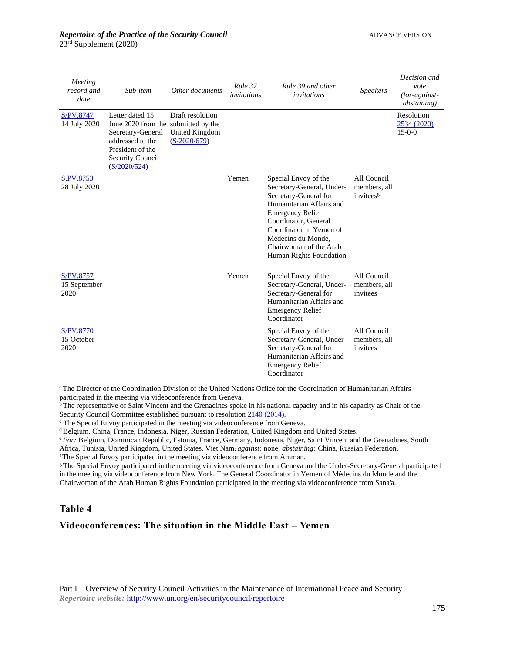| Meeting<br>record and<br>date     | Sub-item                                                                                                                                                | Other documents                                           | Rule 37<br>invitations | Rule 39 and other<br>invitations                                                                                                                                                                                                                                | <b>Speakers</b>                                      | Decision and<br>vote<br>$(for-against-)$<br><i>abstaining</i> ) |
|-----------------------------------|---------------------------------------------------------------------------------------------------------------------------------------------------------|-----------------------------------------------------------|------------------------|-----------------------------------------------------------------------------------------------------------------------------------------------------------------------------------------------------------------------------------------------------------------|------------------------------------------------------|-----------------------------------------------------------------|
| S/PV.8747<br>14 July 2020         | Letter dated 15<br>June 2020 from the submitted by the<br>Secretary-General<br>addressed to the<br>President of the<br>Security Council<br>(S/2020/524) | Draft resolution<br><b>United Kingdom</b><br>(S/2020/679) |                        |                                                                                                                                                                                                                                                                 |                                                      | Resolution<br>2534 (2020)<br>$15-0-0$                           |
| S.PV.8753<br>28 July 2020         |                                                                                                                                                         |                                                           | Yemen                  | Special Envoy of the<br>Secretary-General, Under-<br>Secretary-General for<br>Humanitarian Affairs and<br><b>Emergency Relief</b><br>Coordinator, General<br>Coordinator in Yemen of<br>Médecins du Monde,<br>Chairwoman of the Arab<br>Human Rights Foundation | All Council<br>members, all<br>invitees <sup>g</sup> |                                                                 |
| S/PV.8757<br>15 September<br>2020 |                                                                                                                                                         |                                                           | Yemen                  | Special Envoy of the<br>Secretary-General, Under-<br>Secretary-General for<br>Humanitarian Affairs and<br><b>Emergency Relief</b><br>Coordinator                                                                                                                | All Council<br>members, all<br>invitees              |                                                                 |
| S/PV.8770<br>15 October<br>2020   |                                                                                                                                                         |                                                           |                        | Special Envoy of the<br>Secretary-General, Under-<br>Secretary-General for<br>Humanitarian Affairs and<br><b>Emergency Relief</b><br>Coordinator                                                                                                                | All Council<br>members, all<br>invitees              |                                                                 |

aThe Director of the Coordination Division of the United Nations Office for the Coordination of Humanitarian Affairs participated in the meeting via videoconference from Geneva.

<sup>b</sup>The representative of Saint Vincent and the Grenadines spoke in his national capacity and in his capacity as Chair of the Security Council Committee established pursuant to resolution  $2140(2014)$ .

<sup>c</sup> The Special Envoy participated in the meeting via videoconference from Geneva.

<sup>d</sup> Belgium, China, France, Indonesia, Niger, Russian Federation, United Kingdom and United States.

<sup>e</sup> *For:* Belgium, Dominican Republic, Estonia, France, Germany, Indonesia, Niger, Saint Vincent and the Grenadines, South

Africa, Tunisia, United Kingdom, United States, Viet Nam; *against:* none; *abstaining:* China, Russian Federation.

<sup>f</sup> The Special Envoy participated in the meeting via videoconference from Amman.

<sup>g</sup> The Special Envoy participated in the meeting via videoconference from Geneva and the Under-Secretary-General participated in the meeting via videoconference from New York. The General Coordinator in Yemen of Médecins du Monde and the Chairwoman of the Arab Human Rights Foundation participated in the meeting via videoconference from Sana'a.

#### **Table 4**

#### **Videoconferences: The situation in the Middle East – Yemen**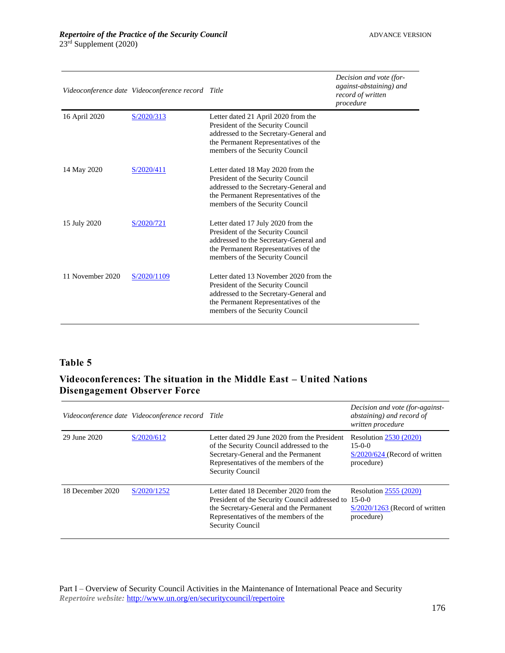|                  | Videoconference date Videoconference record Title |                                                                                                                                                                                                  | Decision and vote (for-<br>against-abstaining) and<br>record of written<br>procedure |
|------------------|---------------------------------------------------|--------------------------------------------------------------------------------------------------------------------------------------------------------------------------------------------------|--------------------------------------------------------------------------------------|
| 16 April 2020    | S/2020/313                                        | Letter dated 21 April 2020 from the<br>President of the Security Council<br>addressed to the Secretary-General and<br>the Permanent Representatives of the<br>members of the Security Council    |                                                                                      |
| 14 May 2020      | S/2020/411                                        | Letter dated 18 May 2020 from the<br>President of the Security Council<br>addressed to the Secretary-General and<br>the Permanent Representatives of the<br>members of the Security Council      |                                                                                      |
| 15 July 2020     | S/2020/721                                        | Letter dated 17 July 2020 from the<br>President of the Security Council<br>addressed to the Secretary-General and<br>the Permanent Representatives of the<br>members of the Security Council     |                                                                                      |
| 11 November 2020 | S/2020/1109                                       | Letter dated 13 November 2020 from the<br>President of the Security Council<br>addressed to the Secretary-General and<br>the Permanent Representatives of the<br>members of the Security Council |                                                                                      |

#### **Table 5**

## **Videoconferences: The situation in the Middle East – United Nations Disengagement Observer Force**

|                  | Videoconference date Videoconference record Title |                                                                                                                                                                                                                | Decision and vote (for-against-<br>abstaining) and record of<br>written procedure          |
|------------------|---------------------------------------------------|----------------------------------------------------------------------------------------------------------------------------------------------------------------------------------------------------------------|--------------------------------------------------------------------------------------------|
| 29 June 2020     | S/2020/612                                        | Letter dated 29 June 2020 from the President<br>of the Security Council addressed to the<br>Secretary-General and the Permanent<br>Representatives of the members of the<br><b>Security Council</b>            | <b>Resolution 2530 (2020)</b><br>$15-0-0$<br>$S/2020/624$ (Record of written<br>procedure) |
| 18 December 2020 | S/2020/1252                                       | Letter dated 18 December 2020 from the<br>President of the Security Council addressed to 15-0-0<br>the Secretary-General and the Permanent<br>Representatives of the members of the<br><b>Security Council</b> | <b>Resolution 2555 (2020)</b><br>$S/2020/1263$ (Record of written<br>procedure)            |